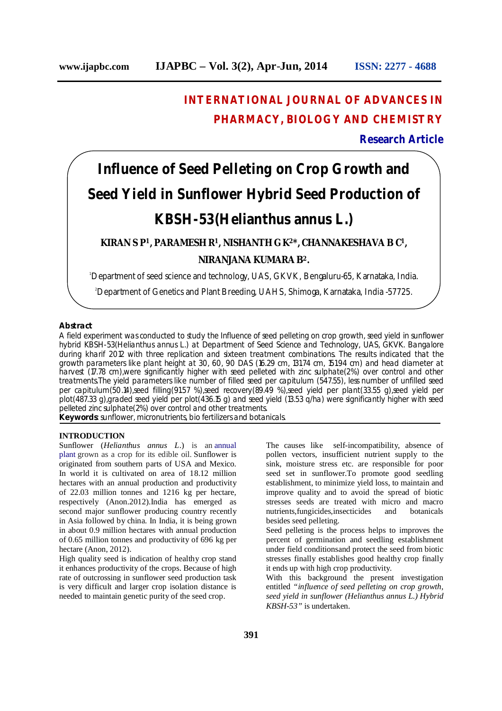## **INTERNATIONAL JOURNAL OF ADVANCES IN PHARMACY, BIOLOGY AND CHEMISTRY**

### **Research Article**

# **Influence of Seed Pelleting on Crop Growth and Seed Yield in Sunflower Hybrid Seed Production of KBSH-53(***Helianthus annus L***.)**

### **KIRAN S P<sup>1</sup>, PARAMESH R<sup>1</sup>, NISHANTH G K<sup>2</sup>\*, CHANNAKESHAVA B C<sup>1</sup>, NIRANJANA KUMARA B<sup>2</sup>.**

<sup>1</sup>Department of seed science and technology, UAS, GKVK, Bengaluru-65, Karnataka, India.

<sup>2</sup>Department of Genetics and Plant Breeding, UAHS, Shimoga, Karnataka, India -57725.

#### **Abstract**

A field experiment was conducted to study the Influence of seed pelleting on crop growth, seed yield in sunflower hybrid KBSH-53(*Helianthus annus L*.) at Department of Seed Science and Technology, UAS, GKVK. Bangalore during kharif 2012 with three replication and sixteen treatment combinations. The results indicated that the growth parameters like plant height at 30, 60, 90 DAS (16.29 cm, 131.74 cm, 151.94 cm) and head diameter at harvest (17.78 cm),were significantly higher with seed pelleted with zinc sulphate(2%) over control and other treatments.The yield parameters like number of filled seed per capitulum (547.55), less number of unfilled seed per capitulum(50.14),seed filling(91.57 %),seed recovery(89.49 %),seed yield per plant(33.55 g),seed yield per plot(487.33 g),graded seed yield per plot(436.15 g) and seed yield (13.53 q/ha) were significantly higher with seed pelleted zinc sulphate(2%) over control and other treatments. **Keywords**: sunflower, micronutrients, bio fertilizers and botanicals.

#### **INTRODUCTION**

Sunflower (*Helianthus annus L*.) is an annual plant grown as a crop for its edible oil. Sunflower is originated from southern parts of USA and Mexico. In world it is cultivated on area of 18.12 million hectares with an annual production and productivity of 22.03 million tonnes and 1216 kg per hectare, respectively (Anon.2012).India has emerged as second major sunflower producing country recently in Asia followed by china. In India, it is being grown in about 0.9 million hectares with annual production of 0.65 million tonnes and productivity of 696 kg per hectare (Anon, 2012).

High quality seed is indication of healthy crop stand it enhances productivity of the crops. Because of high rate of outcrossing in sunflower seed production task is very difficult and larger crop isolation distance is needed to maintain genetic purity of the seed crop.

The causes like self-incompatibility, absence of pollen vectors, insufficient nutrient supply to the sink, moisture stress etc. are responsible for poor seed set in sunflower.To promote good seedling establishment, to minimize yield loss, to maintain and improve quality and to avoid the spread of biotic stresses seeds are treated with micro and macro nutrients,fungicides,insecticides and botanicals besides seed pelleting.

Seed pelleting is the process helps to improves the percent of germination and seedling establishment under field conditionsand protect the seed from biotic stresses finally establishes good healthy crop finally it ends up with high crop productivity.

With this background the present investigation entitled *"influence of seed pelleting on crop growth, seed yield in sunflower (Helianthus annus L.) Hybrid KBSH-53"* is undertaken.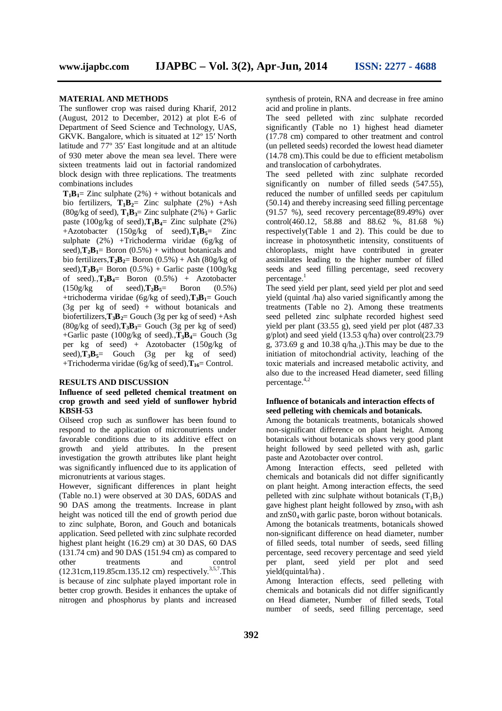#### **MATERIAL AND METHODS**

The sunflower crop was raised during Kharif, 2012 (August, 2012 to December, 2012) at plot E-6 of Department of Seed Science and Technology, UAS, GKVK. Bangalore, which is situated at 12º 15′ North latitude and 77º 35′ East longitude and at an altitude of 930 meter above the mean sea level. There were sixteen treatments laid out in factorial randomized block design with three replications. The treatments combinations includes

 $T_1B_1 = Zinc$  sulphate  $(2\%)$  + without botanicals and bio fertilizers,  $T_1B_2$ = Zinc sulphate (2%) +Ash  $(80g/kg \text{ of seed})$ ,  $\mathbf{T}_1 \mathbf{B}_3 = \text{Zinc sulphate } (2\%) + \text{Garlic}$ paste  $(100g/kg \text{ of seed})$ , $\mathbf{T_1B_4} = \mathbf{Z}$ inc sulphate  $(2\%)$ +Azotobacter (150g/kg of seed), $\mathbf{T}_1 \mathbf{B}_5$ = Zinc sulphate (2%) +Trichoderma viridae (6g/kg of seed), $\mathbf{T}_2 \mathbf{B}_1 = \text{Born}(0.5\%) + \text{without botanicals}$  and bio fertilizers, $\mathbf{T}_2 \mathbf{B}_2 = \text{Boron}(0.5\%) + \text{Ash}(80\text{g/kg of})$ seed), $\mathbf{T}_2 \mathbf{B}_3$ = Boron (0.5%) + Garlic paste (100g/kg) of seed). $\mathbf{T_2B_4} = \text{Boron} (0.5\%) + \text{Azotobacter} (150\text{g/kg of } seed)$ . $\mathbf{T_2B_5} = \text{Boron} (0.5\%)$ of seed), $T_2B_5$ = +trichoderma viridae (6g/kg of seed),**T3B1**= Gouch (3g per kg of seed) + without botanicals and biofertilizers, $\mathbf{T}_3 \mathbf{B}_2 =$  Gouch (3g per kg of seed) +Ash  $(80g/kg \text{ of } seed)$ , $\mathbf{T}_3\mathbf{B}_3$ = Gouch  $(3g \text{ per } kg \text{ of } seed)$ +Garlic paste (100g/kg of seed)*.*,**T3B4**= Gouch (3g per kg of seed) + Azotobacter (150g/kg of  $\text{seed}$ ), $\overline{T_3B_5}$  Gouch (3g per kg of seed) +Trichoderma viridae (6g/kg of seed),**T16**= Control.

#### **RESULTS AND DISCUSSION**

#### **Influence of seed pelleted chemical treatment on crop growth and seed yield of sunflower hybrid KBSH-53**

Oilseed crop such as sunflower has been found to respond to the application of micronutrients under favorable conditions due to its additive effect on growth and yield attributes. In the present investigation the growth attributes like plant height was significantly influenced due to its application of micronutrients at various stages.

However, significant differences in plant height (Table no.1) were observed at 30 DAS, 60DAS and 90 DAS among the treatments. Increase in plant height was noticed till the end of growth period due to zinc sulphate, Boron, and Gouch and botanicals application. Seed pelleted with zinc sulphate recorded highest plant height (16.29 cm) at 30 DAS, 60 DAS (131.74 cm) and 90 DAS (151.94 cm) as compared to other treatments and control  $(12.31cm, 119.85cm.135.12cm)$  respectively.<sup>3,5,7</sup>. This is because of zinc sulphate played important role in better crop growth. Besides it enhances the uptake of nitrogen and phosphorus by plants and increased

synthesis of protein, RNA and decrease in free amino acid and proline in plants.

The seed pelleted with zinc sulphate recorded significantly (Table no 1) highest head diameter (17.78 cm) compared to other treatment and control (un pelleted seeds) recorded the lowest head diameter (14.78 cm).This could be due to efficient metabolism and translocation of carbohydrates.

The seed pelleted with zinc sulphate recorded significantly on number of filled seeds (547.55), reduced the number of unfilled seeds per capitulum (50.14) and thereby increasing seed filling percentage (91.57 %), seed recovery percentage(89.49%) over control(460.12, 58.88 and 88.62 %, 81.68 %) respectively(Table 1 and 2). This could be due to increase in photosynthetic intensity, constituents of chloroplasts, might have contributed in greater assimilates leading to the higher number of filled seeds and seed filling percentage, seed recovery percentage.<sup>1</sup>

The seed yield per plant, seed yield per plot and seed yield (quintal /ha) also varied significantly among the treatments (Table no 2). Among these treatments seed pelleted zinc sulphate recorded highest seed yield per plant (33.55 g), seed yield per plot (487.33 g/plot) and seed yield (13.53 q/ha) over control(23.79 g,  $373.69$  g and  $10.38$  q/ha<sub>-1</sub>). This may be due to the initiation of mitochondrial activity, leaching of the toxic materials and increased metabolic activity, and also due to the increased Head diameter, seed filling percentage. 4,2

#### **Influence of botanicals and interaction effects of seed pelleting with chemicals and botanicals.**

Among the botanicals treatments, botanicals showed non-significant difference on plant height. Among botanicals without botanicals shows very good plant height followed by seed pelleted with ash, garlic paste and Azotobacter over control.

Among Interaction effects, seed pelleted with chemicals and botanicals did not differ significantly on plant height. Among interaction effects, the seed pelleted with zinc sulphate without botanicals  $(T_1B_1)$ gave highest plant height followed by  $z_{\text{NSO}_4}$  with ash and znS04 with garlic paste, boron without botanicals. Among the botanicals treatments, botanicals showed non-significant difference on head diameter, number of filled seeds, total number of seeds, seed filling percentage, seed recovery percentage and seed yield per plant, seed yield per plot and seed yield(quintal/ha) .

Among Interaction effects, seed pelleting with chemicals and botanicals did not differ significantly on Head diameter, Number of filled seeds, Total number of seeds, seed filling percentage, seed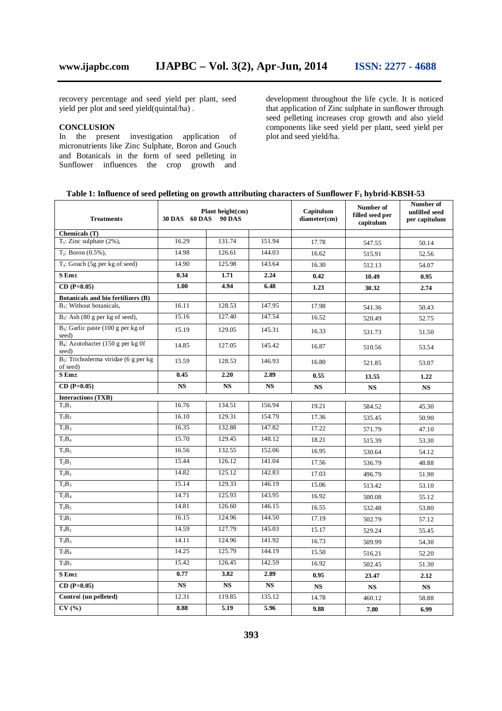recovery percentage and seed yield per plant, seed yield per plot and seed yield(quintal/ha) .

#### **CONCLUSION**

In the present investigation application of micronutrients like Zinc Sulphate, Boron and Gouch and Botanicals in the form of seed pelleting in Sunflower influences the crop growth and development throughout the life cycle. It is noticed that application of Zinc sulphate in sunflower through seed pelleting increases crop growth and also yield components like seed yield per plant, seed yield per plot and seed yield/ha.

| <b>Treatments</b>                                   | 30 DAS 60 DAS          | Plant height $(cm)$<br><b>90 DAS</b> |             | Capitulum<br>diameter(cm) | Number of<br>filled seed per<br>capitulum | Number of<br>unfilled seed<br>per capitulum |
|-----------------------------------------------------|------------------------|--------------------------------------|-------------|---------------------------|-------------------------------------------|---------------------------------------------|
| Chemicals (T)                                       |                        |                                      |             |                           |                                           |                                             |
| $T_1$ : Zinc sulphate (2%),                         | 16.29                  | 131.74                               | 151.94      | 17.78                     | 547.55                                    | 50.14                                       |
| $T_2$ : Boron (0.5%),                               | 14.98                  | 126.61                               | 144.03      | 16.62                     | 515.91                                    | 52.56                                       |
| $T_3$ : Gouch (5g per kg of seed)                   | 14.90                  | 125.98                               | 143.64      | 16.30                     | 512.13                                    | 54.07                                       |
| $S$ Em $\pm$                                        | 0.34                   | 1.71                                 | 2.24        | 0.42                      | 10.49                                     | 0.95                                        |
| $CD (P=0.05)$                                       | 1.00                   | 4.94                                 | 6.48        | 1.23                      | 30.32                                     | 2.74                                        |
| <b>Botanicals and bio fertilizers (B)</b>           |                        |                                      |             |                           |                                           |                                             |
| $B_1$ : Without botanicals,                         | 16.11                  | 128.53                               | 147.95      | 17.98                     | 541.36                                    | 50.43                                       |
| $B_2$ : Ash (80 g per kg of seed),                  | 15.16                  | 127.40                               | 147.54      | 16.52                     | 520.49                                    | 52.75                                       |
| $B_3$ : Garlic paste (100 g per kg of<br>seed)      | 15.19                  | 129.05                               | 145.31      | 16.33                     | 531.73                                    | 51.50                                       |
| $B_4$ : Azotobacter (150 g per kg 0f<br>seed)       | 14.85                  | 127.05                               | 145.42      | 16.87                     | 510.56                                    | 53.54                                       |
| $B_5$ : Trichoderma viridae (6 g per kg<br>of seed) | 15.59                  | 128.53                               | 146.93      | 16.80                     | 521.85                                    | 53.07                                       |
| $S$ Em $\pm$                                        | 0.45                   | 2.20                                 | 2.89        | 0.55                      | 13.55                                     | 1.22                                        |
| $CD (P=0.05)$                                       | <b>NS</b>              | <b>NS</b>                            | <b>NS</b>   | <b>NS</b>                 | <b>NS</b>                                 | <b>NS</b>                                   |
| <b>Interactions (TXB)</b>                           |                        |                                      |             |                           |                                           |                                             |
| $T_1B_1$                                            | 16.76                  | 134.51                               | 156.94      | 19.21                     | 584.52                                    | 45.30                                       |
| $T_1B_2$                                            | 16.10                  | 129.31                               | 154.79      | 17.36                     | 535.45                                    | 50.90                                       |
| $T_1B_3$                                            | 16.35                  | 132.88                               | 147.82      | 17.22                     | 571.79                                    | 47.10                                       |
| $T_1B_4$                                            | 15.70                  | 129.45                               | 148.12      | 18.21                     | 515.39                                    | 53.30                                       |
| $T_1B_5$                                            | 16.56                  | 132.55                               | 152.06      | 16.95                     | 530.64                                    | 54.12                                       |
| $T_2B_1$                                            | 15.44                  | 126.12                               | 141.04      | 17.56                     | 536.79                                    | 48.88                                       |
| $T_2B_2$                                            | 14.82                  | 125.12                               | 142.83      | 17.03                     | 496.79                                    | 51.90                                       |
| $T_2B_3$                                            | 15.14                  | 129.33                               | 146.19      | 15.06                     | 513.42                                    | 53.10                                       |
| $T_2B_4$                                            | 14.71                  | 125.93                               | 143.95      | 16.92                     | 500.08                                    | 55.12                                       |
| $T_2B_5$                                            | 14.81                  | 126.60                               | 146.15      | 16.55                     | 532.48                                    | 53.80                                       |
| $T_3B_1$                                            | 16.15                  | 124.96                               | 144.50      | 17.19                     | 502.79                                    | 57.12                                       |
| $T_3B_2$                                            | 14.59                  | 127.79                               | 145.03      | 15.17                     | 529.24                                    | 55.45                                       |
| $T_3B_3$                                            | 14.11                  | 124.96                               | 141.92      | 16.73                     | 509.99                                    | 54.30                                       |
| $T_3B_4$                                            | 14.25                  | 125.79                               | 144.19      | 15.50                     | 516.21                                    | 52.20                                       |
| $T_3B_5$                                            | 15.42                  | 126.45                               | 142.59      | 16.92                     | 502.45                                    | 51.30                                       |
| $S$ Em $\pm$                                        | 0.77                   | 3.82                                 | 2.89        | 0.95                      | 23.47                                     | 2.12                                        |
| $CD (P=0.05)$                                       | $\mathbf{N}\mathbf{S}$ | NS                                   | $_{\rm NS}$ | <b>NS</b>                 | <b>NS</b>                                 | <b>NS</b>                                   |
| Control (un pelleted)                               | 12.31                  | 119.85                               | 135.12      | 14.78                     | 460.12                                    | 58.88                                       |
| CV(%)                                               | 8.88                   | 5.19                                 | 5.96        | 9.88                      | 7.80                                      | 6.99                                        |